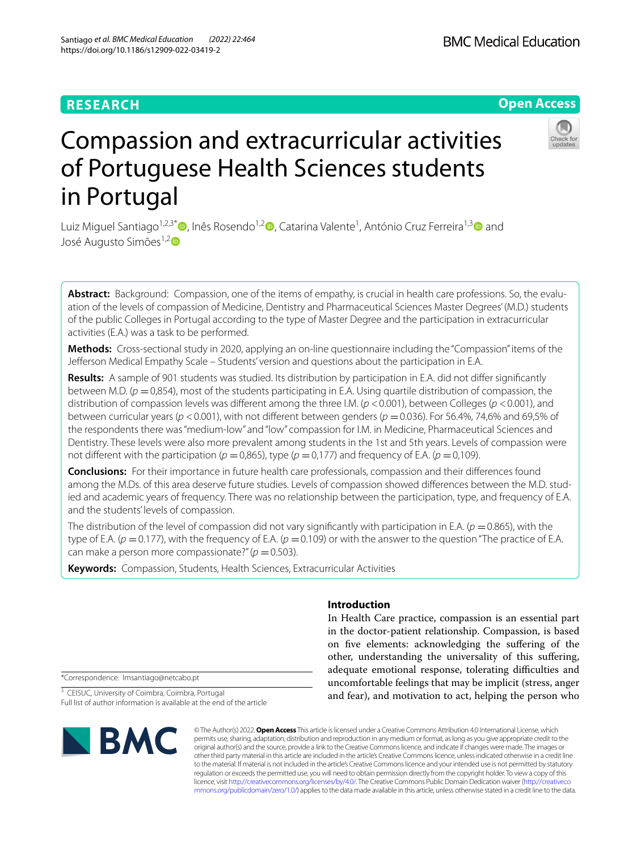# **RESEARCH**

# **Open Access**



# Compassion and extracurricular activities of Portuguese Health Sciences students in Portugal

Luiz Miguel Santiago<sup>1,2,3[\\*](https://orcid.org/0000-0002-9343-2827)</sup>®[,](https://orcid.org/0000-0001-8838-6021) Inês Rosendo<sup>1,2</sup>®, Catarina Valente<sup>1</sup>, António Cruz Ferreira<sup>1,3</sup>® and José Augusto Simões<sup>1,2</sup>D

**Abstract:** Background: Compassion, one of the items of empathy, is crucial in health care professions. So, the evaluation of the levels of compassion of Medicine, Dentistry and Pharmaceutical Sciences Master Degrees' (M.D.) students of the public Colleges in Portugal according to the type of Master Degree and the participation in extracurricular activities (E.A.) was a task to be performed.

**Methods:** Cross-sectional study in 2020, applying an on-line questionnaire including the "Compassion" items of the Jeferson Medical Empathy Scale – Students' version and questions about the participation in E.A.

**Results:** A sample of 901 students was studied. Its distribution by participation in E.A. did not difer signifcantly between M.D. (*p* =0,854), most of the students participating in E.A. Using quartile distribution of compassion, the distribution of compassion levels was diferent among the three I.M. (*p* <0.001), between Colleges (*p* <0.001), and between curricular years (*p* <0.001), with not diferent between genders (*p* =0.036). For 56.4%, 74,6% and 69,5% of the respondents there was "medium-low" and "low" compassion for I.M. in Medicine, Pharmaceutical Sciences and Dentistry. These levels were also more prevalent among students in the 1st and 5th years. Levels of compassion were not different with the participation ( $p = 0.865$ ), type ( $p = 0.177$ ) and frequency of E.A. ( $p = 0.109$ ).

**Conclusions:** For their importance in future health care professionals, compassion and their diferences found among the M.Ds. of this area deserve future studies. Levels of compassion showed diferences between the M.D. studied and academic years of frequency. There was no relationship between the participation, type, and frequency of E.A. and the students' levels of compassion.

The distribution of the level of compassion did not vary significantly with participation in E.A. ( $p = 0.865$ ), with the type of E.A. ( $p = 0.177$ ), with the frequency of E.A. ( $p = 0.109$ ) or with the answer to the question "The practice of E.A. can make a person more compassionate?"  $(p = 0.503)$ .

**Keywords:** Compassion, Students, Health Sciences, Extracurricular Activities

# **Introduction**

In Health Care practice, compassion is an essential part in the doctor-patient relationship. Compassion, is based on fve elements: acknowledging the sufering of the other, understanding the universality of this sufering, adequate emotional response, tolerating difficulties and uncomfortable feelings that may be implicit (stress, anger and fear), and motivation to act, helping the person who

\*Correspondence: lmsantiago@netcabo.pt

<sup>3</sup> CEISUC, University of Coimbra, Coimbra, Portugal Full list of author information is available at the end of the article



© The Author(s) 2022. **Open Access** This article is licensed under a Creative Commons Attribution 4.0 International License, which permits use, sharing, adaptation, distribution and reproduction in any medium or format, as long as you give appropriate credit to the original author(s) and the source, provide a link to the Creative Commons licence, and indicate if changes were made. The images or other third party material in this article are included in the article's Creative Commons licence, unless indicated otherwise in a credit line to the material. If material is not included in the article's Creative Commons licence and your intended use is not permitted by statutory regulation or exceeds the permitted use, you will need to obtain permission directly from the copyright holder. To view a copy of this licence, visit [http://creativecommons.org/licenses/by/4.0/.](http://creativecommons.org/licenses/by/4.0/) The Creative Commons Public Domain Dedication waiver ([http://creativeco](http://creativecommons.org/publicdomain/zero/1.0/) [mmons.org/publicdomain/zero/1.0/](http://creativecommons.org/publicdomain/zero/1.0/)) applies to the data made available in this article, unless otherwise stated in a credit line to the data.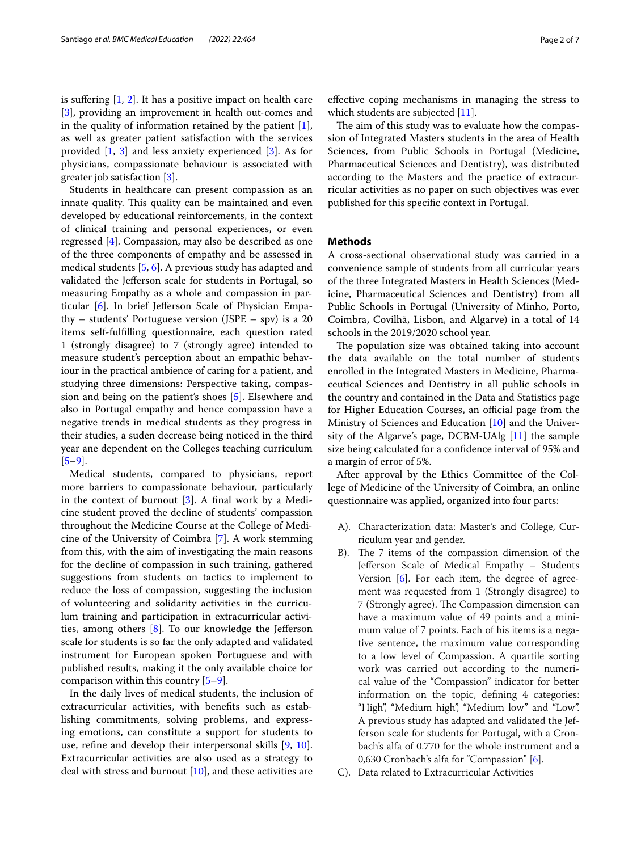is suffering  $[1, 2]$  $[1, 2]$  $[1, 2]$  $[1, 2]$ . It has a positive impact on health care [[3\]](#page-6-2), providing an improvement in health out-comes and in the quality of information retained by the patient  $[1]$  $[1]$ , as well as greater patient satisfaction with the services provided [\[1](#page-6-0), [3\]](#page-6-2) and less anxiety experienced [\[3\]](#page-6-2). As for physicians, compassionate behaviour is associated with greater job satisfaction [[3\]](#page-6-2).

Students in healthcare can present compassion as an innate quality. This quality can be maintained and even developed by educational reinforcements, in the context of clinical training and personal experiences, or even regressed [\[4](#page-6-3)]. Compassion, may also be described as one of the three components of empathy and be assessed in medical students [\[5](#page-6-4), [6\]](#page-6-5). A previous study has adapted and validated the Jeferson scale for students in Portugal, so measuring Empathy as a whole and compassion in particular [[6\]](#page-6-5). In brief Jeferson Scale of Physician Empathy – students' Portuguese version (JSPE – spv) is a 20 items self-fulflling questionnaire, each question rated 1 (strongly disagree) to 7 (strongly agree) intended to measure student's perception about an empathic behaviour in the practical ambience of caring for a patient, and studying three dimensions: Perspective taking, compassion and being on the patient's shoes [\[5](#page-6-4)]. Elsewhere and also in Portugal empathy and hence compassion have a negative trends in medical students as they progress in their studies, a suden decrease being noticed in the third year ane dependent on the Colleges teaching curriculum  $[5-9]$  $[5-9]$ .

Medical students, compared to physicians, report more barriers to compassionate behaviour, particularly in the context of burnout  $[3]$  $[3]$ . A final work by a Medicine student proved the decline of students' compassion throughout the Medicine Course at the College of Medicine of the University of Coimbra [[7\]](#page-6-7). A work stemming from this, with the aim of investigating the main reasons for the decline of compassion in such training, gathered suggestions from students on tactics to implement to reduce the loss of compassion, suggesting the inclusion of volunteering and solidarity activities in the curriculum training and participation in extracurricular activities, among others  $[8]$  $[8]$ . To our knowledge the Jefferson scale for students is so far the only adapted and validated instrument for European spoken Portuguese and with published results, making it the only available choice for comparison within this country [[5–](#page-6-4)[9\]](#page-6-6).

In the daily lives of medical students, the inclusion of extracurricular activities, with benefts such as establishing commitments, solving problems, and expressing emotions, can constitute a support for students to use, refne and develop their interpersonal skills [[9,](#page-6-6) [10](#page-6-9)]. Extracurricular activities are also used as a strategy to deal with stress and burnout  $[10]$  $[10]$ , and these activities are efective coping mechanisms in managing the stress to which students are subjected [\[11\]](#page-6-10).

The aim of this study was to evaluate how the compassion of Integrated Masters students in the area of Health Sciences, from Public Schools in Portugal (Medicine, Pharmaceutical Sciences and Dentistry), was distributed according to the Masters and the practice of extracurricular activities as no paper on such objectives was ever published for this specifc context in Portugal.

## **Methods**

A cross-sectional observational study was carried in a convenience sample of students from all curricular years of the three Integrated Masters in Health Sciences (Medicine, Pharmaceutical Sciences and Dentistry) from all Public Schools in Portugal (University of Minho, Porto, Coimbra, Covilhã, Lisbon, and Algarve) in a total of 14 schools in the 2019/2020 school year.

The population size was obtained taking into account the data available on the total number of students enrolled in the Integrated Masters in Medicine, Pharmaceutical Sciences and Dentistry in all public schools in the country and contained in the Data and Statistics page for Higher Education Courses, an official page from the Ministry of Sciences and Education [\[10](#page-6-9)] and the University of the Algarve's page, DCBM-UAlg [[11\]](#page-6-10) the sample size being calculated for a confdence interval of 95% and a margin of error of 5%.

After approval by the Ethics Committee of the College of Medicine of the University of Coimbra, an online questionnaire was applied, organized into four parts:

- A). Characterization data: Master's and College, Curriculum year and gender.
- B). The 7 items of the compassion dimension of the Jefferson Scale of Medical Empathy - Students Version [\[6](#page-6-5)]. For each item, the degree of agreement was requested from 1 (Strongly disagree) to 7 (Strongly agree). The Compassion dimension can have a maximum value of 49 points and a minimum value of 7 points. Each of his items is a negative sentence, the maximum value corresponding to a low level of Compassion. A quartile sorting work was carried out according to the numerical value of the "Compassion" indicator for better information on the topic, defning 4 categories: "High", "Medium high", "Medium low" and "Low". A previous study has adapted and validated the Jefferson scale for students for Portugal, with a Cronbach's alfa of 0.770 for the whole instrument and a 0,630 Cronbach's alfa for "Compassion" [\[6](#page-6-5)].
- C). Data related to Extracurricular Activities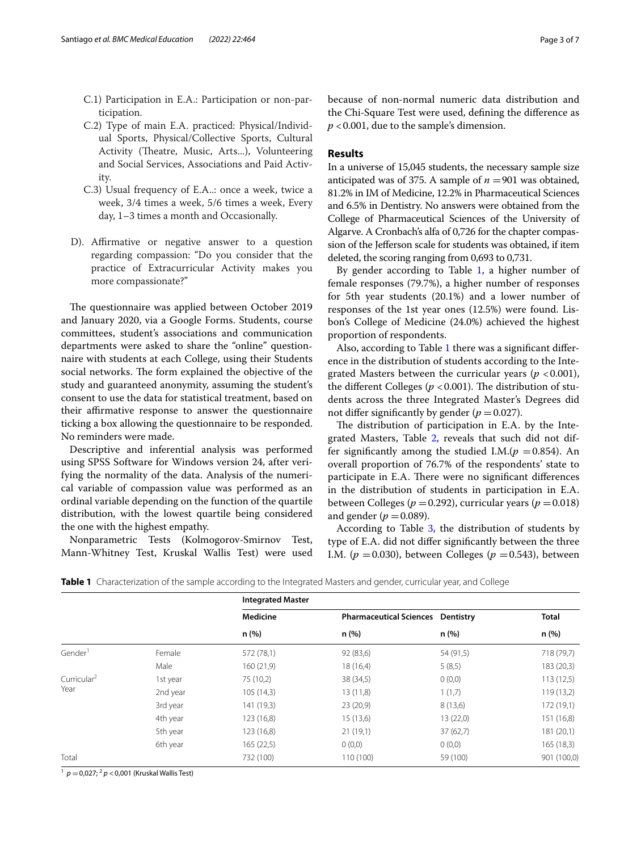- C.1) Participation in E.A.: Participation or non-participation.
- C.2) Type of main E.A. practiced: Physical/Individual Sports, Physical/Collective Sports, Cultural Activity (Theatre, Music, Arts...), Volunteering and Social Services, Associations and Paid Activity.
- C.3) Usual frequency of E.A..: once a week, twice a week, 3/4 times a week, 5/6 times a week, Every day, 1–3 times a month and Occasionally.
- D). Affirmative or negative answer to a question regarding compassion: "Do you consider that the practice of Extracurricular Activity makes you more compassionate?"

The questionnaire was applied between October 2019 and January 2020, via a Google Forms. Students, course committees, student's associations and communication departments were asked to share the "online" questionnaire with students at each College, using their Students social networks. The form explained the objective of the study and guaranteed anonymity, assuming the student's consent to use the data for statistical treatment, based on their affirmative response to answer the questionnaire ticking a box allowing the questionnaire to be responded. No reminders were made.

Descriptive and inferential analysis was performed using SPSS Software for Windows version 24, after verifying the normality of the data. Analysis of the numerical variable of compassion value was performed as an ordinal variable depending on the function of the quartile distribution, with the lowest quartile being considered the one with the highest empathy.

Nonparametric Tests (Kolmogorov-Smirnov Test, Mann-Whitney Test, Kruskal Wallis Test) were used because of non-normal numeric data distribution and the Chi-Square Test were used, defning the diference as *p* <0.001, due to the sample's dimension.

## **Results**

In a universe of 15,045 students, the necessary sample size anticipated was of 375. A sample of  $n = 901$  was obtained, 81.2% in IM of Medicine, 12.2% in Pharmaceutical Sciences and 6.5% in Dentistry. No answers were obtained from the College of Pharmaceutical Sciences of the University of Algarve. A Cronbach's alfa of 0,726 for the chapter compassion of the Jeferson scale for students was obtained, if item deleted, the scoring ranging from 0,693 to 0,731.

By gender according to Table  $1$ , a higher number of female responses (79.7%), a higher number of responses for 5th year students (20.1%) and a lower number of responses of the 1st year ones (12.5%) were found. Lisbon's College of Medicine (24.0%) achieved the highest proportion of respondents.

Also, according to Table [1](#page-2-0) there was a signifcant diference in the distribution of students according to the Integrated Masters between the curricular years ( $p < 0.001$ ), the different Colleges ( $p < 0.001$ ). The distribution of students across the three Integrated Master's Degrees did not differ significantly by gender ( $p = 0.027$ ).

The distribution of participation in E.A. by the Integrated Masters, Table [2,](#page-3-0) reveals that such did not differ significantly among the studied I.M. $(p = 0.854)$ . An overall proportion of 76.7% of the respondents' state to participate in E.A. There were no significant differences in the distribution of students in participation in E.A. between Colleges ( $p = 0.292$ ), curricular years ( $p = 0.018$ ) and gender ( $p = 0.089$ ).

According to Table [3,](#page-3-1) the distribution of students by type of E.A. did not difer signifcantly between the three I.M. ( $p = 0.030$ ), between Colleges ( $p = 0.543$ ), between

|                         |          | <b>Integrated Master</b> |                                |           |              |
|-------------------------|----------|--------------------------|--------------------------------|-----------|--------------|
|                         |          | <b>Medicine</b>          | <b>Pharmaceutical Sciences</b> | Dentistry | <b>Total</b> |
|                         |          | n (%)                    | n (%)                          | n(%)      | n (%)        |
| Gender <sup>1</sup>     | Female   | 572 (78,1)               | 92 (83,6)                      | 54 (91,5) | 718 (79,7)   |
|                         | Male     | 160 (21,9)               | 18 (16,4)                      | 5(8,5)    | 183 (20,3)   |
| Curricular <sup>2</sup> | 1st year | 75 (10,2)                | 38 (34,5)                      | 0(0,0)    | 113(12,5)    |
| Year                    | 2nd year | 105 (14,3)               | 13(11,8)                       | 1(1,7)    | 119 (13,2)   |
|                         | 3rd year | 141 (19,3)               | 23(20,9)                       | 8(13,6)   | 172 (19,1)   |
|                         | 4th year | 123 (16,8)               | 15(13,6)                       | 13(22,0)  | 151 (16,8)   |
|                         | 5th year | 123(16,8)                | 21(19,1)                       | 37(62,7)  | 181 (20,1)   |
|                         | 6th year | 165 (22,5)               | 0(0,0)                         | 0(0,0)    | 165(18,3)    |
| Total                   |          | 732 (100)                | 110 (100)                      | 59 (100)  | 901 (100,0)  |

<span id="page-2-0"></span>**Table 1** Characterization of the sample according to the Integrated Masters and gender, curricular year, and College

1 *<sup>p</sup>* <sup>=</sup>0,027; 2 *<sup>p</sup>* <0,001 (Kruskal Wallis Test)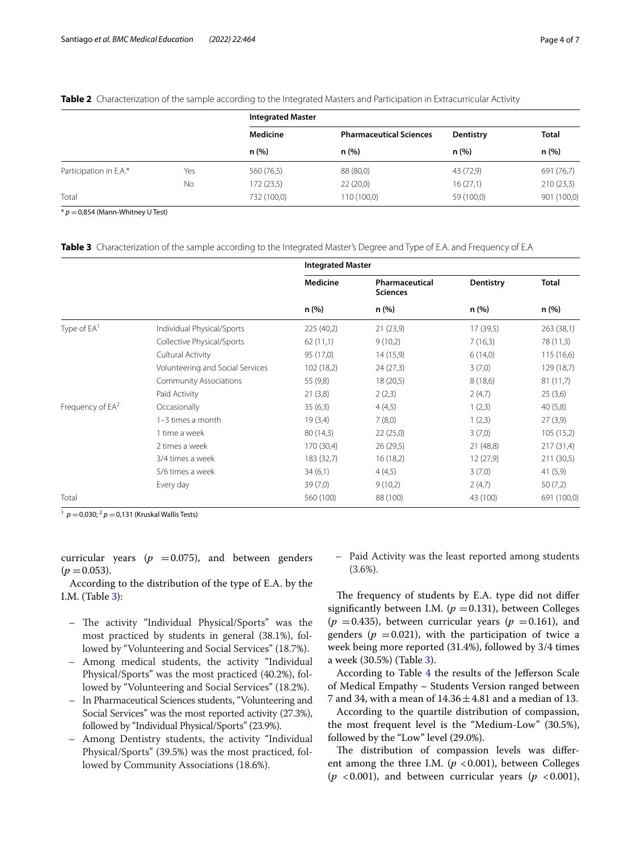# <span id="page-3-0"></span>**Table 2** Characterization of the sample according to the Integrated Masters and Participation in Extracurricular Activity

|                        |     | <b>Integrated Master</b> |                                        |                   |                      |
|------------------------|-----|--------------------------|----------------------------------------|-------------------|----------------------|
|                        |     | Medicine<br>n(%)         | <b>Pharmaceutical Sciences</b><br>n(%) | Dentistry<br>n(%) | <b>Total</b><br>n(%) |
|                        |     |                          |                                        |                   |                      |
| Participation in E.A.* | Yes | 560 (76,5)               | 88 (80,0)                              | 43 (72,9)         | 691 (76,7)           |
|                        | No  | 172(23.5)                | 22(20,0)                               | 16(27,1)          | 210(23,3)            |
| Total                  |     | 732 (100,0)              | 110 (100,0)                            | 59 (100,0)        | 901 (100,0)          |

 $* p = 0,854$  (Mann-Whitney U Test)

<span id="page-3-1"></span>**Table 3** Characterization of the sample according to the Integrated Master's Degree and Type of E.A. and Frequency of E.A

|                              |                                  | <b>Integrated Master</b> |                                   |           |              |  |
|------------------------------|----------------------------------|--------------------------|-----------------------------------|-----------|--------------|--|
|                              |                                  | <b>Medicine</b>          | Pharmaceutical<br><b>Sciences</b> | Dentistry | <b>Total</b> |  |
|                              |                                  | n (%)                    | n (%)                             | n (%)     | n (%)        |  |
| Type of EA <sup>1</sup>      | Individual Physical/Sports       | 225 (40,2)               | 21(23,9)                          | 17(39,5)  | 263(38,1)    |  |
|                              | Collective Physical/Sports       | 62(11,1)                 | 9(10,2)                           | 7(16,3)   | 78 (11,3)    |  |
|                              | Cultural Activity                | 95 (17,0)                | 14(15,9)                          | 6(14,0)   | 115(16,6)    |  |
|                              | Volunteering and Social Services | 102 (18,2)               | 24(27,3)                          | 3(7,0)    | 129 (18,7)   |  |
|                              | <b>Community Associations</b>    | 55 (9,8)                 | 18(20,5)                          | 8(18,6)   | 81(11,7)     |  |
|                              | Paid Activity                    | 21(3,8)                  | 2(2,3)                            | 2(4,7)    | 25(3,6)      |  |
| Frequency of EA <sup>2</sup> | Occasionally                     | 35(6,3)                  | 4(4,5)                            | 1(2,3)    | 40(5,8)      |  |
|                              | 1-3 times a month                | 19(3,4)                  | 7(8,0)                            | 1(2,3)    | 27(3,9)      |  |
|                              | 1 time a week                    | 80(14,3)                 | 22(25,0)                          | 3(7,0)    | 105(15,2)    |  |
|                              | 2 times a week                   | 170 (30,4)               | 26(29,5)                          | 21(48,8)  | 217(31,4)    |  |
|                              | 3/4 times a week                 | 183 (32,7)               | 16(18,2)                          | 12(27,9)  | 211 (30,5)   |  |
|                              | 5/6 times a week                 | 34(6,1)                  | 4(4,5)                            | 3(7,0)    | 41(5,9)      |  |
|                              | Every day                        | 39(7,0)                  | 9(10,2)                           | 2(4,7)    | 50(7,2)      |  |
| Total                        |                                  | 560 (100)                | 88 (100)                          | 43 (100)  | 691 (100,0)  |  |

<sup>1</sup>  $p = 0,030; ^{2}p = 0,131$  (Kruskal Wallis Tests)

curricular years ( $p = 0.075$ ), and between genders  $(p = 0.053)$ .

According to the distribution of the type of E.A. by the I.M. (Table [3\)](#page-3-1):

- The activity "Individual Physical/Sports" was the most practiced by students in general (38.1%), followed by "Volunteering and Social Services" (18.7%).
- Among medical students, the activity "Individual Physical/Sports" was the most practiced (40.2%), followed by "Volunteering and Social Services" (18.2%).
- In Pharmaceutical Sciences students, "Volunteering and Social Services" was the most reported activity (27.3%), followed by "Individual Physical/Sports" (23.9%).
- Among Dentistry students, the activity "Individual Physical/Sports" (39.5%) was the most practiced, followed by Community Associations (18.6%).

– Paid Activity was the least reported among students (3.6%).

The frequency of students by E.A. type did not differ significantly between I.M. ( $p = 0.131$ ), between Colleges  $(p = 0.435)$ , between curricular years  $(p = 0.161)$ , and genders ( $p = 0.021$ ), with the participation of twice a week being more reported (31.4%), followed by 3/4 times a week (30.5%) (Table [3\)](#page-3-1).

According to Table [4](#page-4-0) the results of the Jefferson Scale of Medical Empathy – Students Version ranged between 7 and 34, with a mean of  $14.36 \pm 4.81$  and a median of 13.

According to the quartile distribution of compassion, the most frequent level is the "Medium-Low" (30.5%), followed by the "Low" level (29.0%).

The distribution of compassion levels was different among the three I.M.  $(p < 0.001)$ , between Colleges  $(p \lt 0.001)$ , and between curricular years  $(p \lt 0.001)$ ,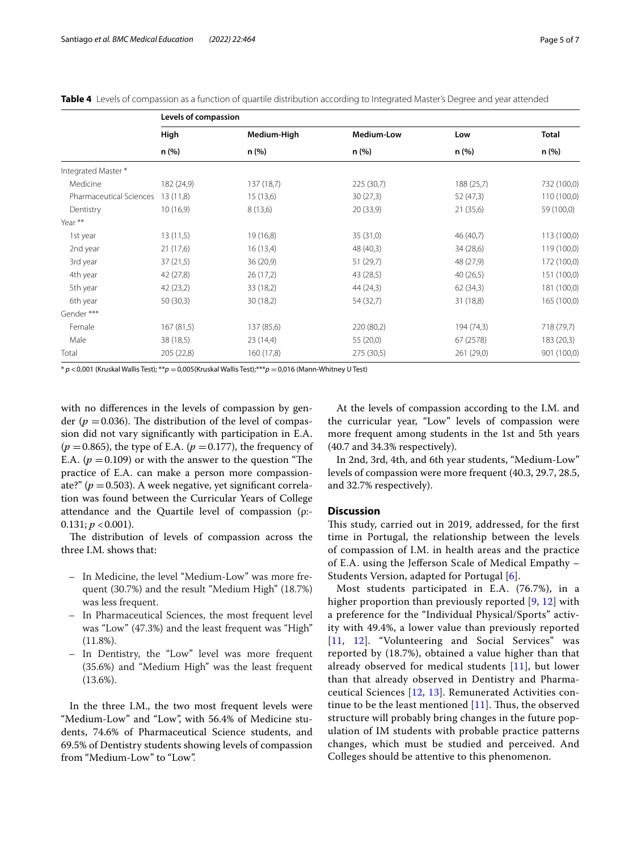<span id="page-4-0"></span>

|  |  |  |  |  | <b>Table 4</b> Levels of compassion as a function of quartile distribution according to Integrated Master's Degree and vear attended |
|--|--|--|--|--|--------------------------------------------------------------------------------------------------------------------------------------|
|--|--|--|--|--|--------------------------------------------------------------------------------------------------------------------------------------|

|                         | Levels of compassion |             |            |            |              |  |  |
|-------------------------|----------------------|-------------|------------|------------|--------------|--|--|
|                         | High                 | Medium-High | Medium-Low | Low        | <b>Total</b> |  |  |
|                         | n(%)                 | n (%)       | n(%)       | n (%)      | n(%)         |  |  |
| Integrated Master*      |                      |             |            |            |              |  |  |
| Medicine                | 182 (24,9)           | 137 (18,7)  | 225 (30,7) | 188(25,7)  | 732 (100,0)  |  |  |
| Pharmaceutical Sciences | 13(11,8)             | 15 (13,6)   | 30(27,3)   | 52(47,3)   | 110 (100,0)  |  |  |
| Dentistry               | 10(16,9)             | 8(13,6)     | 20 (33,9)  | 21 (35,6)  | 59 (100,0)   |  |  |
| Year **                 |                      |             |            |            |              |  |  |
| 1st year                | 13(11,5)             | 19 (16,8)   | 35 (31,0)  | 46 (40,7)  | 113 (100,0)  |  |  |
| 2nd year                | 21(17,6)             | 16(13,4)    | 48 (40,3)  | 34 (28,6)  | 119 (100,0)  |  |  |
| 3rd year                | 37(21,5)             | 36 (20,9)   | 51 (29,7)  | 48 (27,9)  | 172 (100,0)  |  |  |
| 4th year                | 42 (27,8)            | 26(17,2)    | 43 (28,5)  | 40(26,5)   | 151 (100,0)  |  |  |
| 5th year                | 42(23,2)             | 33 (18,2)   | 44(24,3)   | 62(34,3)   | 181 (100,0)  |  |  |
| 6th year                | 50(30,3)             | 30(18,2)    | 54 (32,7)  | 31 (18,8)  | 165 (100,0)  |  |  |
| Gender***               |                      |             |            |            |              |  |  |
| Female                  | 167(81,5)            | 137 (85,6)  | 220 (80,2) | 194 (74,3) | 718 (79,7)   |  |  |
| Male                    | 38(18,5)             | 23(14,4)    | 55 (20,0)  | 67 (2578)  | 183(20,3)    |  |  |
| Total                   | 205 (22,8)           | 160 (17,8)  | 275 (30,5) | 261 (29,0) | 901 (100,0)  |  |  |

\* *p* <0,001 (Kruskal Wallis Test); \*\**p* =0,005(Kruskal Wallis Test);\*\*\**p* =0,016 (Mann-Whitney U Test)

with no diferences in the levels of compassion by gender ( $p = 0.036$ ). The distribution of the level of compassion did not vary signifcantly with participation in E.A.  $(p = 0.865)$ , the type of E.A.  $(p = 0.177)$ , the frequency of E.A.  $(p = 0.109)$  or with the answer to the question "The practice of E.A. can make a person more compassionate?" (*p* =0.503). A week negative, yet signifcant correlation was found between the Curricular Years of College attendance and the Quartile level of compassion (ρ:-  $0.131; p < 0.001$ ).

The distribution of levels of compassion across the three I.M. shows that:

- In Medicine, the level "Medium-Low" was more frequent (30.7%) and the result "Medium High" (18.7%) was less frequent.
- In Pharmaceutical Sciences, the most frequent level was "Low" (47.3%) and the least frequent was "High"  $(11.8\%).$
- In Dentistry, the "Low" level was more frequent (35.6%) and "Medium High" was the least frequent (13.6%).

In the three I.M., the two most frequent levels were "Medium-Low" and "Low", with 56.4% of Medicine students, 74.6% of Pharmaceutical Science students, and 69.5% of Dentistry students showing levels of compassion from "Medium-Low" to "Low".

At the levels of compassion according to the I.M. and the curricular year, "Low" levels of compassion were more frequent among students in the 1st and 5th years (40.7 and 34.3% respectively).

In 2nd, 3rd, 4th, and 6th year students, "Medium-Low" levels of compassion were more frequent (40.3, 29.7, 28.5, and 32.7% respectively).

## **Discussion**

This study, carried out in 2019, addressed, for the first time in Portugal, the relationship between the levels of compassion of I.M. in health areas and the practice of E.A. using the Jeferson Scale of Medical Empathy – Students Version, adapted for Portugal [\[6](#page-6-5)].

Most students participated in E.A. (76.7%), in a higher proportion than previously reported [[9,](#page-6-6) [12](#page-6-11)] with a preference for the "Individual Physical/Sports" activity with 49.4%, a lower value than previously reported [[11](#page-6-10), [12\]](#page-6-11). "Volunteering and Social Services" was reported by (18.7%), obtained a value higher than that already observed for medical students [\[11\]](#page-6-10), but lower than that already observed in Dentistry and Pharmaceutical Sciences [[12,](#page-6-11) [13](#page-6-12)]. Remunerated Activities continue to be the least mentioned  $[11]$  $[11]$  $[11]$ . Thus, the observed structure will probably bring changes in the future population of IM students with probable practice patterns changes, which must be studied and perceived. And Colleges should be attentive to this phenomenon.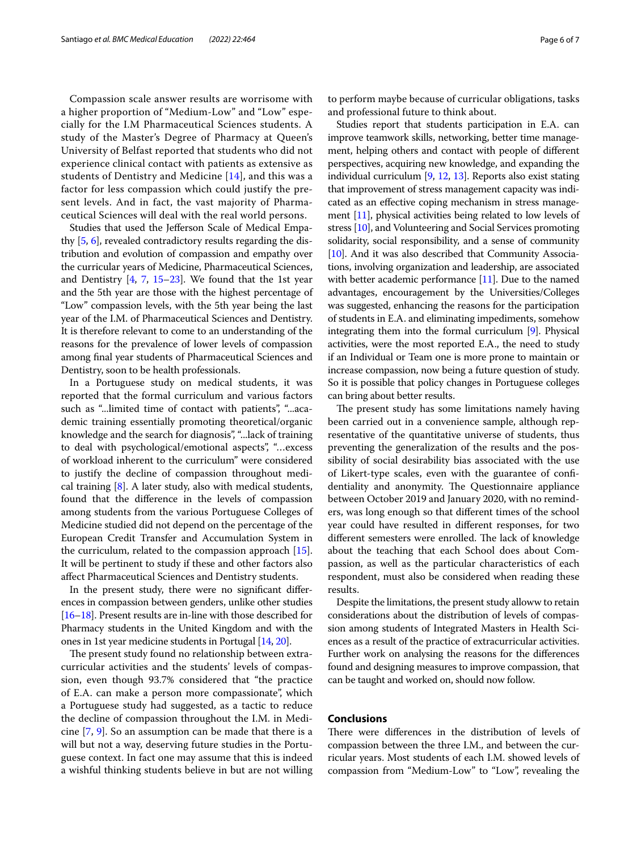Compassion scale answer results are worrisome with a higher proportion of "Medium-Low" and "Low" especially for the I.M Pharmaceutical Sciences students. A study of the Master's Degree of Pharmacy at Queen's University of Belfast reported that students who did not experience clinical contact with patients as extensive as students of Dentistry and Medicine [[14\]](#page-6-13), and this was a factor for less compassion which could justify the present levels. And in fact, the vast majority of Pharmaceutical Sciences will deal with the real world persons.

Studies that used the Jeferson Scale of Medical Empathy [\[5,](#page-6-4) [6](#page-6-5)], revealed contradictory results regarding the distribution and evolution of compassion and empathy over the curricular years of Medicine, Pharmaceutical Sciences, and Dentistry [\[4](#page-6-3), [7](#page-6-7), [15–](#page-6-14)[23](#page-6-15)]. We found that the 1st year and the 5th year are those with the highest percentage of "Low" compassion levels, with the 5th year being the last year of the I.M. of Pharmaceutical Sciences and Dentistry. It is therefore relevant to come to an understanding of the reasons for the prevalence of lower levels of compassion among fnal year students of Pharmaceutical Sciences and Dentistry, soon to be health professionals.

In a Portuguese study on medical students, it was reported that the formal curriculum and various factors such as "...limited time of contact with patients", "...academic training essentially promoting theoretical/organic knowledge and the search for diagnosis", "...lack of training to deal with psychological/emotional aspects", "…excess of workload inherent to the curriculum" were considered to justify the decline of compassion throughout medical training [\[8\]](#page-6-8). A later study, also with medical students, found that the diference in the levels of compassion among students from the various Portuguese Colleges of Medicine studied did not depend on the percentage of the European Credit Transfer and Accumulation System in the curriculum, related to the compassion approach [\[15](#page-6-14)]. It will be pertinent to study if these and other factors also afect Pharmaceutical Sciences and Dentistry students.

In the present study, there were no signifcant diferences in compassion between genders, unlike other studies [[16](#page-6-16)[–18\]](#page-6-17). Present results are in-line with those described for Pharmacy students in the United Kingdom and with the ones in 1st year medicine students in Portugal [[14](#page-6-13), [20\]](#page-6-18).

The present study found no relationship between extracurricular activities and the students' levels of compassion, even though 93.7% considered that "the practice of E.A. can make a person more compassionate", which a Portuguese study had suggested, as a tactic to reduce the decline of compassion throughout the I.M. in Medicine [[7,](#page-6-7) [9\]](#page-6-6). So an assumption can be made that there is a will but not a way, deserving future studies in the Portuguese context. In fact one may assume that this is indeed a wishful thinking students believe in but are not willing to perform maybe because of curricular obligations, tasks and professional future to think about.

Studies report that students participation in E.A. can improve teamwork skills, networking, better time management, helping others and contact with people of diferent perspectives, acquiring new knowledge, and expanding the individual curriculum [\[9](#page-6-6), [12,](#page-6-11) [13\]](#page-6-12). Reports also exist stating that improvement of stress management capacity was indicated as an efective coping mechanism in stress management [[11](#page-6-10)], physical activities being related to low levels of stress [[10](#page-6-9)], and Volunteering and Social Services promoting solidarity, social responsibility, and a sense of community [[10](#page-6-9)]. And it was also described that Community Associations, involving organization and leadership, are associated with better academic performance [\[11\]](#page-6-10). Due to the named advantages, encouragement by the Universities/Colleges was suggested, enhancing the reasons for the participation of students in E.A. and eliminating impediments, somehow integrating them into the formal curriculum [[9\]](#page-6-6). Physical activities, were the most reported E.A., the need to study if an Individual or Team one is more prone to maintain or increase compassion, now being a future question of study. So it is possible that policy changes in Portuguese colleges can bring about better results.

The present study has some limitations namely having been carried out in a convenience sample, although representative of the quantitative universe of students, thus preventing the generalization of the results and the possibility of social desirability bias associated with the use of Likert-type scales, even with the guarantee of confdentiality and anonymity. The Questionnaire appliance between October 2019 and January 2020, with no reminders, was long enough so that diferent times of the school year could have resulted in diferent responses, for two different semesters were enrolled. The lack of knowledge about the teaching that each School does about Compassion, as well as the particular characteristics of each respondent, must also be considered when reading these results.

Despite the limitations, the present study alloww to retain considerations about the distribution of levels of compassion among students of Integrated Masters in Health Sciences as a result of the practice of extracurricular activities. Further work on analysing the reasons for the diferences found and designing measures to improve compassion, that can be taught and worked on, should now follow.

## **Conclusions**

There were differences in the distribution of levels of compassion between the three I.M., and between the curricular years. Most students of each I.M. showed levels of compassion from "Medium-Low" to "Low", revealing the